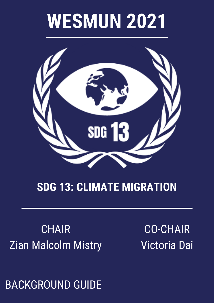# **WESMUN 2021**



#### **SDG 13: CLIMATE MIGRATION**

### **CHAIR** Zian Malcolm Mistry

CO-CHAIR Victoria Dai

BACKGROUND GUIDE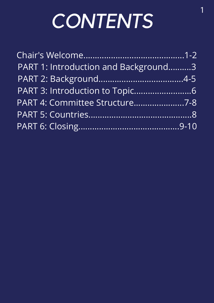# *CONTENTS*

| PART 1: Introduction and Background3 |
|--------------------------------------|
|                                      |
|                                      |
| PART 4: Committee Structure7-8       |
|                                      |
|                                      |
|                                      |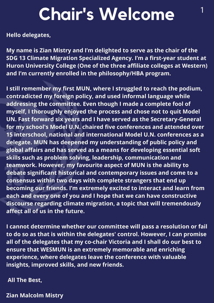## <sup>1</sup> **Chair's Welcome**

**Hello delegates,**

**My name is Zian Mistry and I'm delighted to serve as the chair of the SDG 13 Climate Migration Specialized Agency. I'm a first-year student at Huron University College (One of the three affiliate colleges at Western) and I'm currently enrolled in the philosophy/HBA program.**

**I still remember my first MUN, where I struggled to reach the podium, contradicted my foreign policy, and used informal language while addressing the committee. Even though I made a complete fool of myself, I thoroughly enjoyed the process and chose not to quit Model UN. Fast forward six years and I have served as the Secretary-General for my school's Model U.N. chaired five conferences and attended over 15 interschool, national and international Model U.N. conferences as a delegate. MUN has deepened my understanding of public policy and global affairs and has served as a means for developing essential soft skills such as problem solving, leadership, communication and teamwork. However, my favourite aspect of MUN is the ability to debate significant historical and contemporary issues and come to a consensus within two days with complete strangers that end up becoming our friends. I'm extremely excited to interact and learn from each and every one of you and I hope that we can have constructive discourse regarding climate migration, a topic that will tremendously affect all of us in the future.**

**I cannot determine whether our committee will pass a resolution or fail to do so as that is within the delegates' control. However, I can promise all of the delegates that my co-chair Victoria and I shall do our best to ensure that WESMUN is an extremely memorable and enriching experience, where delegates leave the conference with valuable insights, improved skills, and new friends.**

**All The Best,**

**Zian Malcolm Mistry**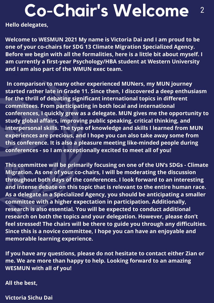# **Co** <sup>2</sup> **-Chair's Welcome**

**Hello delegates,**

**Welcome to WESMUN 2021 My name is Victoria Dai and I am proud to be one of your co-chairs for SDG 13 Climate Migration Specialized Agency. Before we begin with all the formalities, here is a little bit about myself. I am currently a first-year Psychology/HBA student at Western University and I am also part of the WMUN exec team.**

**In comparison to many other experienced MUNers, my MUN journey started rather late in Grade 11. Since then, I discovered a deep enthusiasm for the thrill of debating significant international topics in different committees. From participating in both local and international conferences, I quickly grew as a delegate. MUN gives me the opportunity to study global affairs, improving public speaking, critical thinking, and interpersonal skills. The type of knowledge and skills I learned from MUN experiences are precious, and I hope you can also take away some from this conference. It is also a pleasure meeting like-minded people during conferences - so I am exceptionally excited to meet all of you!**

**This committee will be primarily focusing on one of the UN's SDGs - Climate Migration. As one of your co-chairs, I will be moderating the discussion throughout both days of the conferences. I look forward to an interesting and intense debate on this topic that is relevant to the entire human race. As a delegate in a Specialized Agency, you should be anticipating a smaller committee with a higher expectation in participation. Additionally, research is also essential. You will be expected to conduct additional research on both the topics and your delegation. However, please don't feel stressed! The chairs will be there to guide you through any difficulties. Since this is a novice committee, I hope you can have an enjoyable and memorable learning experience.**

**If you have any questions, please do not hesitate to contact either Zian or me. We are more than happy to help. Looking forward to an amazing WESMUN with all of you!**

**All the best,**

**Victoria Sichu Dai**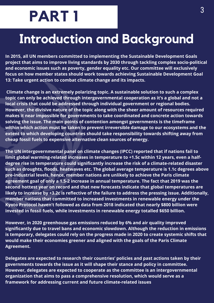## **PART 1**

### **Introduction and Background**

**In 2015, all UN members committed to implementing the Sustainable Development Goals project that aims to improve living standards by 2030 through tackling complex socio-political and economic issues such as poverty, gender equality etc. Our committee will exclusively focus on how member states should work towards achieving Sustainable Development Goal 13: Take urgent action to combat climate change and its impacts.**

**Climate change is an extremely polarizing topic. A sustainable solution to such a complex topic can only be achieved through intergovernmental cooperation as it's a global and not a local crisis that could be addressed through individual government or regional bodies. However, the divisive nature of the topic along with the sheer amount of resources required makes it near impossible for governments to take coordinated and concrete action towards solving the issue. The main points of contention amongst governments is the timeframe within which action must be taken to prevent irreversible damage to our ecosystems and the extent to which developing countries should take responsibility towards shifting away from cheap fossil fuels to expensive alternative clean sources of energy.**

**The UN intergovernmental panel on climate changes (IPCC) reported that if nations fail to limit global warming-related increases in temperature to +1.5c within 12 years, even a halfdegree rise in temperature could significantly increase the risk of a climate-related disaster such as droughts, floods, heatwaves etc. The global average temperature is 1.1c degrees above pre-industrial levels, hence, member nations are unlikely to achieve the Paris climate agreement goal of only a 1.5-2 increase in annual temperature. The fact that 2019 was the second hottest year on record and that new forecasts indicate that global temperatures are likely to increase by +3.2c is reflective of the failure to address the pressing issue. Additionally, member nations that committed to increased investments in renewable energy under the Kyoto Protocol haven't followed as data from 2018 indicated that nearly \$800 billion were invested in fossil fuels, while investments in renewable energy totalled \$650 billion.**

**However, in 2020 greenhouse gas emissions reduced by 6% and air quality improved significantly due to travel bans and economic slowdown. Although the reduction in emissions is temporary, delegates could rely on the progress made in 2020 to create systemic shifts that would make their economies greener and aligned with the goals of the Paris Climate Agreement.**

**Delegates are expected to research their countries' policies and past actions taken by their governments towards the issue as it will shape their stance and policy in committee. However, delegates are expected to cooperate as the committee is an intergovernmental organization that aims to pass a comprehensive resolution, which would serve as a framework for addressing current and future climate-related issues**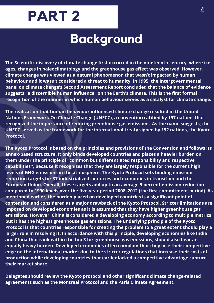

#### **Background**

**The Scientific discovery of climate change first occurred in the nineteenth century, where ice ages, changes in paleoclimatology and the greenhouse gas effect was observed. However, climate change was viewed as a natural phenomenon that wasn't impacted by human behaviour and it wasn't considered a threat to humanity. In 1995, the Intergovernmental panel on climate change's Second Assessment Report concluded that the balance of evidence suggests "a discernible human influence" on the Earth's climate. This is the first formal recognition of the manner in which human behaviour serves as a catalyst for climate change.**

**The realization that human behaviour influenced climate change resulted in the United Nations Framework On Climate Change (UNFCC), a convention ratified by 197 nations that recognized the importance of reducing greenhouse gas emissions. As the name suggests, the UNFCC served as the framework for the international treaty signed by 192 nations, the Kyoto Protocol.**

**The Kyoto Protocol is based on the principles and provisions of the Convention and follows its annex-based structure. It only binds developed countries and places a heavier burden on them under the principle of "common but differentiated responsibility and respective capabilities'', because it recognizes that they are largely responsible for the current high levels of GHG emissions in the atmosphere. The Kyoto Protocol sets binding emission reduction targets for 37 industrialized countries and economies in transition and the European Union. Overall, these targets add up to an average 5 percent emission reduction compared to 1990 levels over the five-year period 2008–2012 (the first commitment period). As mentioned earlier, the burden placed on developed countries is a significant point of contention and considered as a major drawback of the Kyoto Protocol. Stricter limitations are imposed on developed economies as it is assumed that they have higher greenhouse gas emissions. However, China is considered a developing economy according to multiple metrics but it has the highest greenhouse gas emissions. The underlying principle of the Kyoto Protocol is that countries responsible for creating the problem to a great extent should play a larger role in resolving it. In accordance with this principle, developing economies like India and China that rank within the top 3 for greenhouse gas emissions, should also bear an equally heavy burden. Developed economies often complain that they lose their competitive edge on the international market due to the stricter regulations that increase their costs of production while developing countries that earlier lacked a competitive advantage capture their market share.**

**Delegates should review the Kyoto protocol and other significant climate change-related agreements such as the Montreal Protocol and the Paris Climate Agreement.**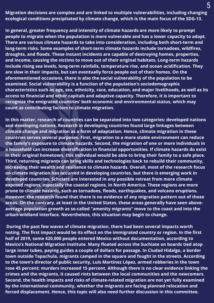**Migration decisions are complex and are linked to multiple vulnerabilities, including changing ecological conditions precipitated by climate change, which is the main focus of the SDG-13.**

**In general, greater frequency and intensity of climate hazards are more likely to prompt people to migrate when the population is more vulnerable and has a lower capacity to adapt. There are various climate hazards to take into consideration, including both short-term and long-term risks. Some examples of short-term climate hazards include tornadoes, wildfires, droughts, and floods. These instant incidents are capable of destroying homes, properties, and income, causing the victims to move out of their original habitats. Long-term hazards include rising sea levels, long-term rainfalls, temperature rise, and ocean acidification. They are slow in their impacts, but can eventually force people out of their homes. On the aforementioned occasions, there is also the social vulnerability of the population to be examined. Social vulnerability is a function of the population's sociodemographic characteristics such as age, sex, ethnicity, race, education, and major livelihoods, as well as its access to financial and other capitals and adaptive capacity. Therefore, it is important to recognize the emigrated countries' both economic and environmental status, which may count as contributing factors to climate migration.**

**In this matter, research of countries can be separated into two categories: developed nations and developing nations. Research in developing countries found large linkages between climate change and migration as a form of adaptation. Hence, climate migration in these countries serves several purposes. First, migration to a more stable environment can reduce the family's exposure to climate hazards. Second, the migration of one or more individuals in a household can increase diversification in financial opportunities. If climate hazards do exist in their original hometown, this individual would be able to bring their family to a safe place. Third, returning migrants can bring skills and technologies back to rebuild their community, increasing their wealth and resilience to climate hazards. Overall, most of the research focus on climate migration has occurred in developing countries, but there is emerging work in developed countries. Scholars are interested in any possible retreat from more climate exposed regions, especially the coastal regions, in North America. These regions are more prone to climate hazards, such as tornadoes, floods, earthquakes, and volcano eruptions. However, the research found that there is no evidence of any migration pattern out of those areas. On the contrary, at least in the United States, these areas generally have seen aboveaverage population growth as so-called "amenity migrants" move to the coast and into the urban-wildland interface. Nevertheless, this situation may begin to change.**

**During the past few waves of climate migration, there had been several impacts worth noting. The first impact would be its effect on the immigrated country or region. In the first half of 2019, some 420,000 people entered Mexico without documentation, according to Mexico's National Migration Institute. Many floated across the Suchiate on boards tied atop large inner tubes, paying guides a couple of dollars for passage. In Ciudad Hidalgo, a border town outside Tapachula, migrants camped in the square and fought in the streets. According to the town's director of public security, Luis Martínez López, armed robberies in the town rose 45 percent; murders increased 15 percent. Although there is no clear evidence linking the crimes and the migrants, it caused riots between the local communities and the newcomers. Second, the health impacts and risks of climate-related migration are not yet fully examined by the international community, whether the migrants are facing planned relocation and forced displacement. Hence, this topic will also need further discussion in this committee.**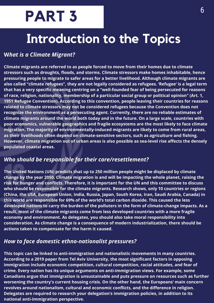## **PART 3**

### **Introduction to the Topics**

#### **W***hat is a Climate Migrant?*

**Climate migrants are referred to as people forced to move from their homes due to climate stressors such as droughts, floods, and storms. Climate stressors make homes inhabitable, hence pressuring people to migrate to safer areas for a better livelihood. Although climate migrants are also called "climate refugees", they are not legally considered as refugees. 'Refugee' is a legal term that has a very specific meaning centring on a "well-founded fear of being persecuted for reasons of race, religion, nationality, membership of a particular social group or political opinion" (Art. 1, 1951 Refugee Convention). According to this convention, people leaving their countries for reasons related to climate stressors may not be considered refugees because the Convention does not recognize the environment as a persecuting agent. Currently, there are no reliable estimates of climate migrants around the world both today and in the future. On a large scale, countries with poor economics, vulnerable geographics and fragile ecosystems are the most likely to face climate migration. The majority of environmentally-induced migrants are likely to come from rural areas, as their livelihoods often depend on climate-sensitive sectors, such as agriculture and fishing. However, climate migration out of urban areas is also possible as sea-level rise affects the densely populated coastal areas.**

#### *Who should be responsible for their care/resettlement?*

**The United Nations (UN) predicts that up to 250 million people might be displaced by climate change by the year 2050. Climate migration is and will be impacting the whole planet, raising the risk for hunger and conflicts. Therefore, it is important for the UN and this committee to discuss who should be responsible for the climate migrants. Research shows, only 10 countries or regions (China, the USA, European Union, India, Russia, Japan, South Korea, Iran, Saudi Arabia, Canada) in this world are responsible for 69% of the world's total carbon dioxide. This caused the less developed nations to carry the burden of the polluters in the form of climate-change impacts. As a result, most of the climate migrants come from less developed countries with a more fragile economy and environment. As delegates, you should also take moral responsibility into consideration. As climate change is a consequence of modern industrialization, there should be actions taken to compensate for the harm it caused.**

#### *How to face domestic ethno-nationalist pressures?*

**This topic can be linked to anti-immigration and nationalistic movements in many countries. According to a 2019 paper from Tel Aviv University, the most significant factors in opposing immigration include economic competition, cultural competition, racial attitudes, and fear of crime. Every nation has its unique arguments on anti-immigration views. For example, some Canadians argue that immigration is unsustainable and puts pressure on resources such as further worsening the country's current housing crisis. On the other hand, the Europeans' main concern revolves around nationalism, cultural and economic conflicts, and the difference in religion. Delegates are required to research your delegation's immigration policies, in addition to its national anti-immigration perspective.**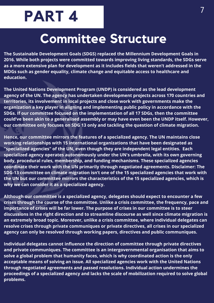## **PART 4**

#### **Committee Structure**

**The Sustainable Development Goals (SDGS) replaced the Millennium Development Goals in 2016. While both projects were committed towards improving living standards, the SDGs serve as a more extensive plan for development as it includes fields that weren't addressed in the MDGs such as gender equality, climate change and equitable access to healthcare and education.**

**The United Nations Development Program (UNDP) is considered as the lead development agency of the UN. The agency has undertaken development projects across 170 countries and territories, its involvement in local projects and close work with governments make the organization a key player in aligning and implementing public policy in accordance with the SDGs. If our committee focused on the implementation of all 17 SDGs, then the committee could've been akin to a generalised assembly or may have even been the UNDP itself. However, our committee only focuses on SDG 13 only and tackling the question of climate migration.**

**Hence, our committee mirrors the features of a specialized agency. The UN maintains close working relationships with 15 international organizations that have been designated as "specialized agencies" of the UN, even though they are independent legal entities. Each specialized agency operates autonomously under the UN's umbrella, with its own governing body, procedural rules, membership, and funding mechanisms. These specialized agencies coordinate their work with the UN primarily through negotiated agreements. Disclaimer: The SDG-13 committee on climate migration isn't one of the 15 specialized agencies that work with the UN but our committee mirrors the characteristics of the 15 specialized agencies, which is why we can consider it as a specialized agency.**

**Although our committee is a specialized agency, delegates should expect to encounter a few crises through the course of the committee. Unlike a crisis committee, the frequency, pace and importance of crises will be far lower. The purpose of crises in our committee is to steer discussions in the right direction and to streamline discourse as well since climate migration is an extremely broad topic. Moreover, unlike a crisis committee, where individual delegates can resolve crises through private communiques or private directives, all crises in our specialized agency can only be resolved through working papers, directives and public communiques.** 

**Individual delegates cannot influence the direction of committee through private directives and private communiques. The committee is an intergovernmental organisation that aims to solve a global problem that humanity faces, which is why coordinated action is the only acceptable means of solving an issue. All specialized agencies work with the United Nations through negotiated agreements and passed resolutions. Individual action undermines the proceedings of a specialized agency and lacks the scale of mobilization required to solve global problems.**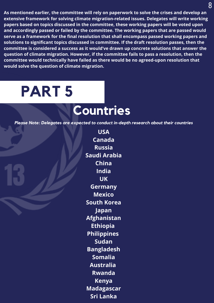**As mentioned earlier, the committee will rely on paperwork to solve the crises and develop an extensive framework for solving climate migration-related issues. Delegates will write working papers based on topics discussed in the committee, these working papers will be voted upon and accordingly passed or failed by the committee. The working papers that are passed would serve as a framework for the final resolution that shall encompass passed working papers and solutions to significant topics discussed in committee. If the draft resolution passes, then the committee is considered a success as it would've drawn up concrete solutions that answer the question of climate migration. However, if the committee fails to pass a resolution, then the committee would technically have failed as there would be no agreed-upon resolution that would solve the question of climate migration.**

## **PART 5**

#### **Countries**

*Please Note: Delegates are expected to conduct in-depth research about their countries*

**USA Canada Russia Saudi Arabia China India UK Germany Mexico South Korea Japan Afghanistan Ethiopia Philippines Sudan Bangladesh Somalia Australia Rwanda Kenya Madagascar Sri Lanka**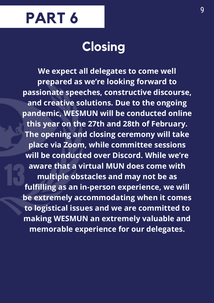

### **Closing**

**We expect all delegates to come well prepared as we're looking forward to passionate speeches, constructive discourse, and creative solutions. Due to the ongoing pandemic, WESMUN will be conducted online this year on the 27th and 28th of February. The opening and closing ceremony will take place via Zoom, while committee sessions will be conducted over Discord. While we're aware that a virtual MUN does come with multiple obstacles and may not be as fulfilling as an in-person experience, we will be extremely accommodating when it comes to logistical issues and we are committed to making WESMUN an extremely valuable and memorable experience for our delegates.**